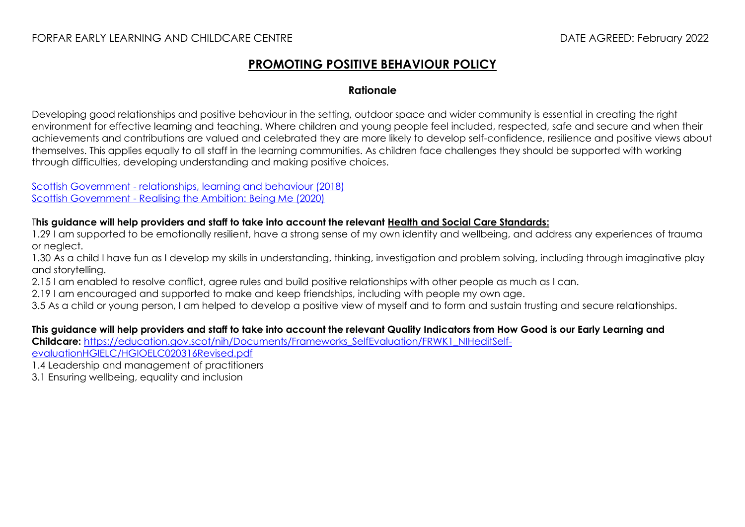## FORFAR EARLY LEARNING AND CHILDCARE CENTRE DATE AGREED: February 2022

## **PROMOTING POSITIVE BEHAVIOUR POLICY**

## **Rationale**

Developing good relationships and positive behaviour in the setting, outdoor space and wider community is essential in creating the right environment for effective learning and teaching. Where children and young people feel included, respected, safe and secure and when their achievements and contributions are valued and celebrated they are more likely to develop self-confidence, resilience and positive views about themselves. This applies equally to all staff in the learning communities. As children face challenges they should be supported with working through difficulties, developing understanding and making positive choices.

Scottish Government - [relationships, learning and behaviour \(2018\)](https://www.gov.scot/publications/developing-positive-whole-school-ethos-culture-relationships-learning-behaviour/) Scottish Government - [Realising the Ambition: Being Me \(2020\)](https://education.gov.scot/improvement/learning-resources/realising-the-ambition/)

## T**his guidance will help providers and staff to take into account the relevant [Health and Social Care Standards:](https://www.gov.scot/binaries/content/documents/govscot/publications/advice-and-guidance/2017/06/health-social-care-standards-support-life/documents/00520693-pdf/00520693-pdf/govscot%3Adocument/00520693.pdf)**

1.29 I am supported to be emotionally resilient, have a strong sense of my own identity and wellbeing, and address any experiences of trauma or neglect.

1.30 As a child I have fun as I develop my skills in understanding, thinking, investigation and problem solving, including through imaginative play and storytelling.

- 2.15 I am enabled to resolve conflict, agree rules and build positive relationships with other people as much as I can.
- 2.19 I am encouraged and supported to make and keep friendships, including with people my own age.
- 3.5 As a child or young person, I am helped to develop a positive view of myself and to form and sustain trusting and secure relationships.

**This guidance will help providers and staff to take into account the relevant Quality Indicators from How Good is our Early Learning and Childcare:** [https://education.gov.scot/nih/Documents/Frameworks\\_SelfEvaluation/FRWK1\\_NIHeditSelf](https://education.gov.scot/nih/Documents/Frameworks_SelfEvaluation/FRWK1_NIHeditSelf-evaluationHGIELC/HGIOELC020316Revised.pdf)[evaluationHGIELC/HGIOELC020316Revised.pdf](https://education.gov.scot/nih/Documents/Frameworks_SelfEvaluation/FRWK1_NIHeditSelf-evaluationHGIELC/HGIOELC020316Revised.pdf)

1.4 Leadership and management of practitioners

3.1 Ensuring wellbeing, equality and inclusion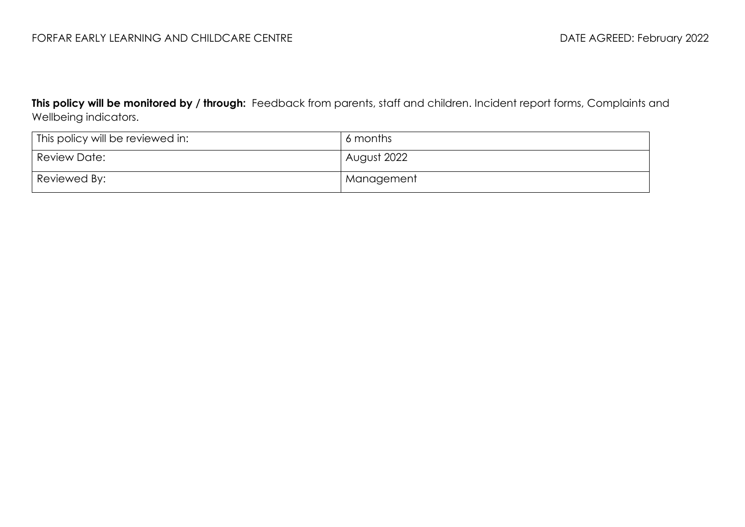**This policy will be monitored by / through:** Feedback from parents, staff and children. Incident report forms, Complaints and Wellbeing indicators.

| <sup>1</sup> This policy will be reviewed in: | 6 months    |
|-----------------------------------------------|-------------|
| Review Date:                                  | August 2022 |
| Reviewed By:                                  | Management  |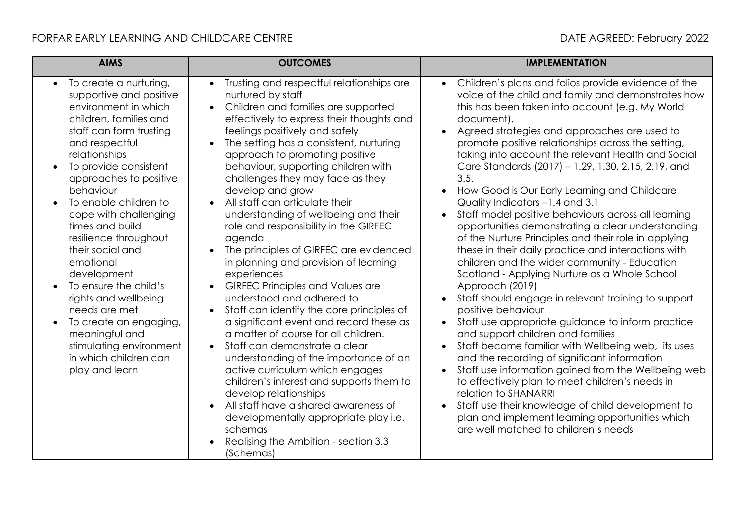| <b>AIMS</b>                                                                                                                                                                                                                                                                                                                                                                                                                                                                                                                                                         | <b>OUTCOMES</b>                                                                                                                                                                                                                                                                                                                                                                                                                                                                                                                                                                                                                                                                                                                                                                                                                                                                                                                                                                                                                                                                                                                                                                                             | <b>IMPLEMENTATION</b>                                                                                                                                                                                                                                                                                                                                                                                                                                                                                                                                                                                                                                                                                                                                                                                                                                                                                                                                                                                                                                                                                                                                                                                                                                                                                                                                                                                                                         |
|---------------------------------------------------------------------------------------------------------------------------------------------------------------------------------------------------------------------------------------------------------------------------------------------------------------------------------------------------------------------------------------------------------------------------------------------------------------------------------------------------------------------------------------------------------------------|-------------------------------------------------------------------------------------------------------------------------------------------------------------------------------------------------------------------------------------------------------------------------------------------------------------------------------------------------------------------------------------------------------------------------------------------------------------------------------------------------------------------------------------------------------------------------------------------------------------------------------------------------------------------------------------------------------------------------------------------------------------------------------------------------------------------------------------------------------------------------------------------------------------------------------------------------------------------------------------------------------------------------------------------------------------------------------------------------------------------------------------------------------------------------------------------------------------|-----------------------------------------------------------------------------------------------------------------------------------------------------------------------------------------------------------------------------------------------------------------------------------------------------------------------------------------------------------------------------------------------------------------------------------------------------------------------------------------------------------------------------------------------------------------------------------------------------------------------------------------------------------------------------------------------------------------------------------------------------------------------------------------------------------------------------------------------------------------------------------------------------------------------------------------------------------------------------------------------------------------------------------------------------------------------------------------------------------------------------------------------------------------------------------------------------------------------------------------------------------------------------------------------------------------------------------------------------------------------------------------------------------------------------------------------|
| To create a nurturing,<br>supportive and positive<br>environment in which<br>children, families and<br>staff can form trusting<br>and respectful<br>relationships<br>To provide consistent<br>approaches to positive<br>behaviour<br>To enable children to<br>cope with challenging<br>times and build<br>resilience throughout<br>their social and<br>emotional<br>development<br>To ensure the child's<br>rights and wellbeing<br>needs are met<br>To create an engaging,<br>meaningful and<br>stimulating environment<br>in which children can<br>play and learn | Trusting and respectful relationships are<br>$\bullet$<br>nurtured by staff<br>Children and families are supported<br>$\bullet$<br>effectively to express their thoughts and<br>feelings positively and safely<br>The setting has a consistent, nurturing<br>approach to promoting positive<br>behaviour, supporting children with<br>challenges they may face as they<br>develop and grow<br>All staff can articulate their<br>$\bullet$<br>understanding of wellbeing and their<br>role and responsibility in the GIRFEC<br>agenda<br>The principles of GIRFEC are evidenced<br>$\bullet$<br>in planning and provision of learning<br>experiences<br><b>GIRFEC Principles and Values are</b><br>understood and adhered to<br>Staff can identify the core principles of<br>$\bullet$<br>a significant event and record these as<br>a matter of course for all children.<br>Staff can demonstrate a clear<br>understanding of the importance of an<br>active curriculum which engages<br>children's interest and supports them to<br>develop relationships<br>All staff have a shared awareness of<br>developmentally appropriate play i.e.<br>schemas<br>Realising the Ambition - section 3.3<br>(Schemas) | Children's plans and folios provide evidence of the<br>$\bullet$<br>voice of the child and family and demonstrates how<br>this has been taken into account (e.g. My World<br>document).<br>Agreed strategies and approaches are used to<br>promote positive relationships across the setting,<br>taking into account the relevant Health and Social<br>Care Standards (2017) - 1.29, 1.30, 2.15, 2.19, and<br>3.5.<br>How Good is Our Early Learning and Childcare<br>Quality Indicators -1.4 and 3.1<br>Staff model positive behaviours across all learning<br>opportunities demonstrating a clear understanding<br>of the Nurture Principles and their role in applying<br>these in their daily practice and interactions with<br>children and the wider community - Education<br>Scotland - Applying Nurture as a Whole School<br>Approach (2019)<br>Staff should engage in relevant training to support<br>positive behaviour<br>Staff use appropriate guidance to inform practice<br>$\bullet$<br>and support children and families<br>Staff become familiar with Wellbeing web, its uses<br>and the recording of significant information<br>Staff use information gained from the Wellbeing web<br>$\bullet$<br>to effectively plan to meet children's needs in<br>relation to SHANARRI<br>Staff use their knowledge of child development to<br>plan and implement learning opportunities which<br>are well matched to children's needs |